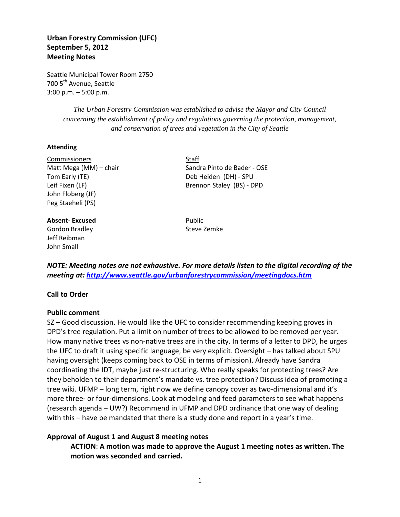# **Urban Forestry Commission (UFC) September 5, 2012 Meeting Notes**

Seattle Municipal Tower Room 2750 700 5<sup>th</sup> Avenue, Seattle 3:00 p.m. – 5:00 p.m.

> *The Urban Forestry Commission was established to advise the Mayor and City Council concerning the establishment of policy and regulations governing the protection, management, and conservation of trees and vegetation in the City of Seattle*

#### **Attending**

Commissioners Staff Tom Early (TE) Deb Heiden (DH) - SPU John Floberg (JF) Peg Staeheli (PS)

#### **Absent-Excused** Public

Gordon Bradley **Steve Zemke** Jeff Reibman John Small

Matt Mega (MM) – chair Sandra Pinto de Bader - OSE Leif Fixen (LF) Brennon Staley (BS) - DPD

*NOTE: Meeting notes are not exhaustive. For more details listen to the digital recording of the meeting at:<http://www.seattle.gov/urbanforestrycommission/meetingdocs.htm>*

### **Call to Order**

#### **Public comment**

SZ – Good discussion. He would like the UFC to consider recommending keeping groves in DPD's tree regulation. Put a limit on number of trees to be allowed to be removed per year. How many native trees vs non-native trees are in the city. In terms of a letter to DPD, he urges the UFC to draft it using specific language, be very explicit. Oversight – has talked about SPU having oversight (keeps coming back to OSE in terms of mission). Already have Sandra coordinating the IDT, maybe just re-structuring. Who really speaks for protecting trees? Are they beholden to their department's mandate vs. tree protection? Discuss idea of promoting a tree wiki. UFMP – long term, right now we define canopy cover as two-dimensional and it's more three- or four-dimensions. Look at modeling and feed parameters to see what happens (research agenda – UW?) Recommend in UFMP and DPD ordinance that one way of dealing with this – have be mandated that there is a study done and report in a year's time.

#### **Approval of August 1 and August 8 meeting notes**

**ACTION**: **A motion was made to approve the August 1 meeting notes as written. The motion was seconded and carried.**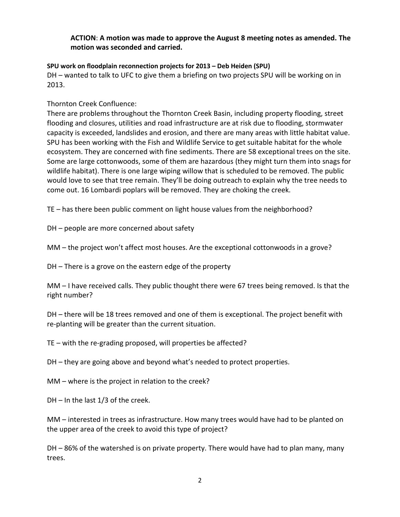# **ACTION**: **A motion was made to approve the August 8 meeting notes as amended. The motion was seconded and carried.**

### **SPU work on floodplain reconnection projects for 2013 – Deb Heiden (SPU)**

DH – wanted to talk to UFC to give them a briefing on two projects SPU will be working on in 2013.

# Thornton Creek Confluence:

There are problems throughout the Thornton Creek Basin, including property flooding, street flooding and closures, utilities and road infrastructure are at risk due to flooding, stormwater capacity is exceeded, landslides and erosion, and there are many areas with little habitat value. SPU has been working with the Fish and Wildlife Service to get suitable habitat for the whole ecosystem. They are concerned with fine sediments. There are 58 exceptional trees on the site. Some are large cottonwoods, some of them are hazardous (they might turn them into snags for wildlife habitat). There is one large wiping willow that is scheduled to be removed. The public would love to see that tree remain. They'll be doing outreach to explain why the tree needs to come out. 16 Lombardi poplars will be removed. They are choking the creek.

TE – has there been public comment on light house values from the neighborhood?

DH – people are more concerned about safety

MM – the project won't affect most houses. Are the exceptional cottonwoods in a grove?

DH – There is a grove on the eastern edge of the property

MM – I have received calls. They public thought there were 67 trees being removed. Is that the right number?

DH – there will be 18 trees removed and one of them is exceptional. The project benefit with re-planting will be greater than the current situation.

TE – with the re-grading proposed, will properties be affected?

DH – they are going above and beyond what's needed to protect properties.

MM – where is the project in relation to the creek?

DH – In the last 1/3 of the creek.

MM – interested in trees as infrastructure. How many trees would have had to be planted on the upper area of the creek to avoid this type of project?

DH – 86% of the watershed is on private property. There would have had to plan many, many trees.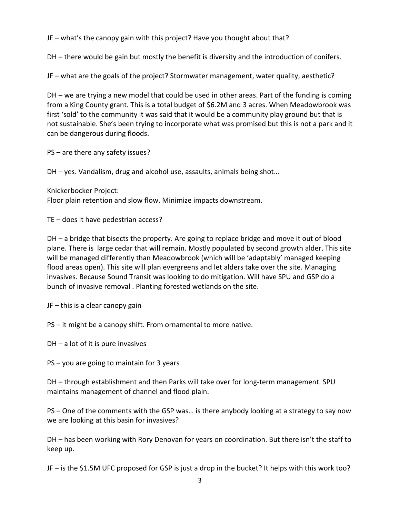JF – what's the canopy gain with this project? Have you thought about that?

DH – there would be gain but mostly the benefit is diversity and the introduction of conifers.

JF – what are the goals of the project? Stormwater management, water quality, aesthetic?

DH – we are trying a new model that could be used in other areas. Part of the funding is coming from a King County grant. This is a total budget of \$6.2M and 3 acres. When Meadowbrook was first 'sold' to the community it was said that it would be a community play ground but that is not sustainable. She's been trying to incorporate what was promised but this is not a park and it can be dangerous during floods.

PS – are there any safety issues?

DH – yes. Vandalism, drug and alcohol use, assaults, animals being shot…

Knickerbocker Project: Floor plain retention and slow flow. Minimize impacts downstream.

TE – does it have pedestrian access?

DH – a bridge that bisects the property. Are going to replace bridge and move it out of blood plane. There is large cedar that will remain. Mostly populated by second growth alder. This site will be managed differently than Meadowbrook (which will be 'adaptably' managed keeping flood areas open). This site will plan evergreens and let alders take over the site. Managing invasives. Because Sound Transit was looking to do mitigation. Will have SPU and GSP do a bunch of invasive removal . Planting forested wetlands on the site.

JF – this is a clear canopy gain

- PS it might be a canopy shift. From ornamental to more native.
- DH a lot of it is pure invasives
- PS you are going to maintain for 3 years

DH – through establishment and then Parks will take over for long-term management. SPU maintains management of channel and flood plain.

PS – One of the comments with the GSP was… is there anybody looking at a strategy to say now we are looking at this basin for invasives?

DH – has been working with Rory Denovan for years on coordination. But there isn't the staff to keep up.

JF – is the \$1.5M UFC proposed for GSP is just a drop in the bucket? It helps with this work too?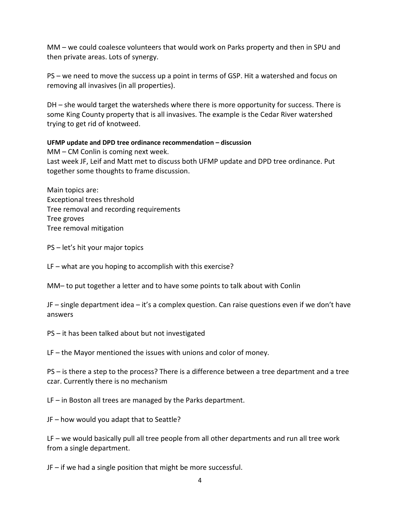MM – we could coalesce volunteers that would work on Parks property and then in SPU and then private areas. Lots of synergy.

PS – we need to move the success up a point in terms of GSP. Hit a watershed and focus on removing all invasives (in all properties).

DH – she would target the watersheds where there is more opportunity for success. There is some King County property that is all invasives. The example is the Cedar River watershed trying to get rid of knotweed.

## **UFMP update and DPD tree ordinance recommendation – discussion**

MM – CM Conlin is coming next week. Last week JF, Leif and Matt met to discuss both UFMP update and DPD tree ordinance. Put together some thoughts to frame discussion.

Main topics are: Exceptional trees threshold Tree removal and recording requirements Tree groves Tree removal mitigation

PS – let's hit your major topics

LF – what are you hoping to accomplish with this exercise?

MM– to put together a letter and to have some points to talk about with Conlin

JF – single department idea – it's a complex question. Can raise questions even if we don't have answers

PS – it has been talked about but not investigated

LF – the Mayor mentioned the issues with unions and color of money.

PS – is there a step to the process? There is a difference between a tree department and a tree czar. Currently there is no mechanism

LF – in Boston all trees are managed by the Parks department.

JF – how would you adapt that to Seattle?

LF – we would basically pull all tree people from all other departments and run all tree work from a single department.

JF – if we had a single position that might be more successful.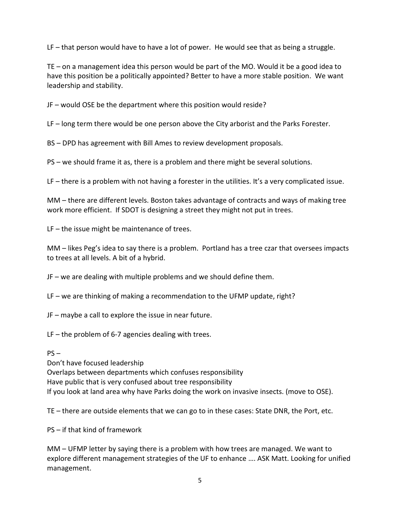LF – that person would have to have a lot of power. He would see that as being a struggle.

TE – on a management idea this person would be part of the MO. Would it be a good idea to have this position be a politically appointed? Better to have a more stable position. We want leadership and stability.

JF – would OSE be the department where this position would reside?

LF – long term there would be one person above the City arborist and the Parks Forester.

BS – DPD has agreement with Bill Ames to review development proposals.

PS – we should frame it as, there is a problem and there might be several solutions.

LF – there is a problem with not having a forester in the utilities. It's a very complicated issue.

MM – there are different levels. Boston takes advantage of contracts and ways of making tree work more efficient. If SDOT is designing a street they might not put in trees.

LF – the issue might be maintenance of trees.

MM – likes Peg's idea to say there is a problem. Portland has a tree czar that oversees impacts to trees at all levels. A bit of a hybrid.

JF – we are dealing with multiple problems and we should define them.

LF – we are thinking of making a recommendation to the UFMP update, right?

JF – maybe a call to explore the issue in near future.

LF – the problem of 6-7 agencies dealing with trees.

### $PS -$

Don't have focused leadership Overlaps between departments which confuses responsibility Have public that is very confused about tree responsibility If you look at land area why have Parks doing the work on invasive insects. (move to OSE).

TE – there are outside elements that we can go to in these cases: State DNR, the Port, etc.

PS – if that kind of framework

MM – UFMP letter by saying there is a problem with how trees are managed. We want to explore different management strategies of the UF to enhance …. ASK Matt. Looking for unified management.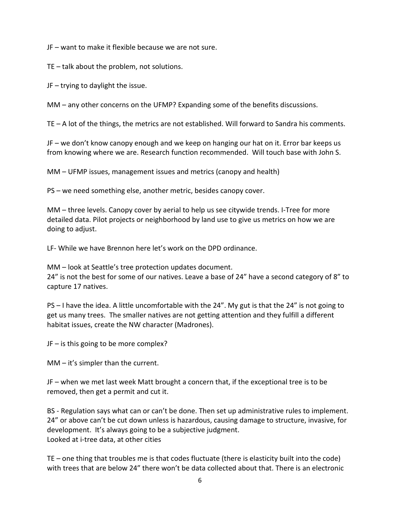JF – want to make it flexible because we are not sure.

TE – talk about the problem, not solutions.

JF – trying to daylight the issue.

MM – any other concerns on the UFMP? Expanding some of the benefits discussions.

TE – A lot of the things, the metrics are not established. Will forward to Sandra his comments.

JF – we don't know canopy enough and we keep on hanging our hat on it. Error bar keeps us from knowing where we are. Research function recommended. Will touch base with John S.

MM – UFMP issues, management issues and metrics (canopy and health)

PS – we need something else, another metric, besides canopy cover.

MM – three levels. Canopy cover by aerial to help us see citywide trends. I-Tree for more detailed data. Pilot projects or neighborhood by land use to give us metrics on how we are doing to adjust.

LF- While we have Brennon here let's work on the DPD ordinance.

MM – look at Seattle's tree protection updates document.

24" is not the best for some of our natives. Leave a base of 24" have a second category of 8" to capture 17 natives.

PS – I have the idea. A little uncomfortable with the 24". My gut is that the 24" is not going to get us many trees. The smaller natives are not getting attention and they fulfill a different habitat issues, create the NW character (Madrones).

JF – is this going to be more complex?

MM – it's simpler than the current.

JF – when we met last week Matt brought a concern that, if the exceptional tree is to be removed, then get a permit and cut it.

BS - Regulation says what can or can't be done. Then set up administrative rules to implement. 24" or above can't be cut down unless is hazardous, causing damage to structure, invasive, for development. It's always going to be a subjective judgment. Looked at i-tree data, at other cities

TE – one thing that troubles me is that codes fluctuate (there is elasticity built into the code) with trees that are below 24" there won't be data collected about that. There is an electronic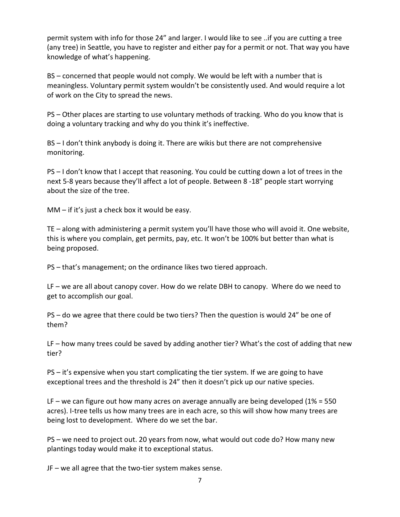permit system with info for those 24" and larger. I would like to see ..if you are cutting a tree (any tree) in Seattle, you have to register and either pay for a permit or not. That way you have knowledge of what's happening.

BS – concerned that people would not comply. We would be left with a number that is meaningless. Voluntary permit system wouldn't be consistently used. And would require a lot of work on the City to spread the news.

PS – Other places are starting to use voluntary methods of tracking. Who do you know that is doing a voluntary tracking and why do you think it's ineffective.

BS – I don't think anybody is doing it. There are wikis but there are not comprehensive monitoring.

PS – I don't know that I accept that reasoning. You could be cutting down a lot of trees in the next 5-8 years because they'll affect a lot of people. Between 8 -18" people start worrying about the size of the tree.

MM – if it's just a check box it would be easy.

TE – along with administering a permit system you'll have those who will avoid it. One website, this is where you complain, get permits, pay, etc. It won't be 100% but better than what is being proposed.

PS – that's management; on the ordinance likes two tiered approach.

LF – we are all about canopy cover. How do we relate DBH to canopy. Where do we need to get to accomplish our goal.

PS – do we agree that there could be two tiers? Then the question is would 24" be one of them?

LF – how many trees could be saved by adding another tier? What's the cost of adding that new tier?

PS – it's expensive when you start complicating the tier system. If we are going to have exceptional trees and the threshold is 24" then it doesn't pick up our native species.

LF – we can figure out how many acres on average annually are being developed (1% = 550 acres). I-tree tells us how many trees are in each acre, so this will show how many trees are being lost to development. Where do we set the bar.

PS – we need to project out. 20 years from now, what would out code do? How many new plantings today would make it to exceptional status.

JF – we all agree that the two-tier system makes sense.